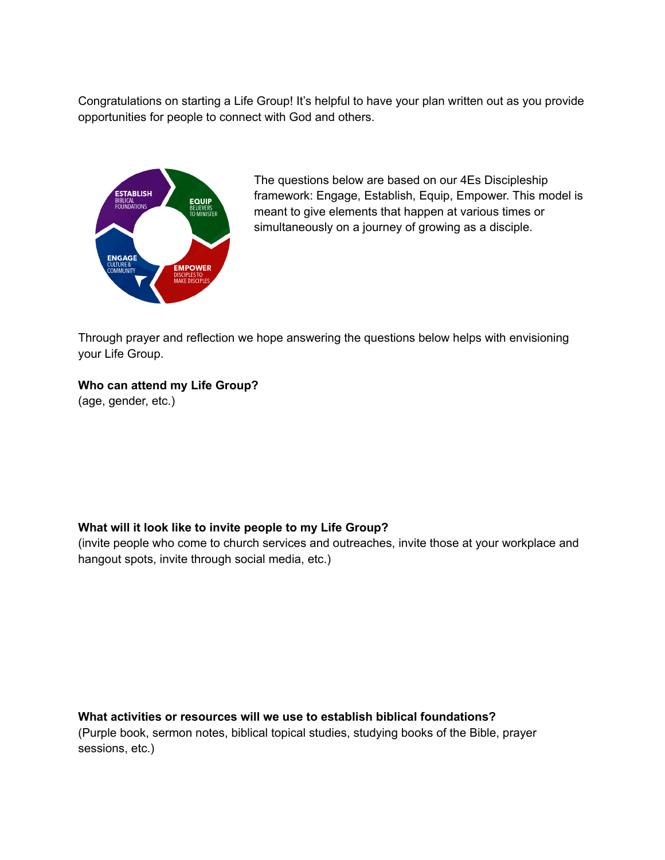Congratulations on starting a Life Group! It's helpful to have your plan written out as you provide opportunities for people to connect with God and others.



The questions below are based on our 4Es Discipleship framework: Engage, Establish, Equip, Empower. This model is meant to give elements that happen at various times or simultaneously on a journey of growing as a disciple.

Through prayer and reflection we hope answering the questions below helps with envisioning your Life Group.

## **Who can attend my Life Group?**

(age, gender, etc.)

## **What will it look like to invite people to my Life Group?**

(invite people who come to church services and outreaches, invite those at your workplace and hangout spots, invite through social media, etc.)

**What activities or resources will we use to establish biblical foundations?** (Purple book, sermon notes, biblical topical studies, studying books of the Bible, prayer sessions, etc.)